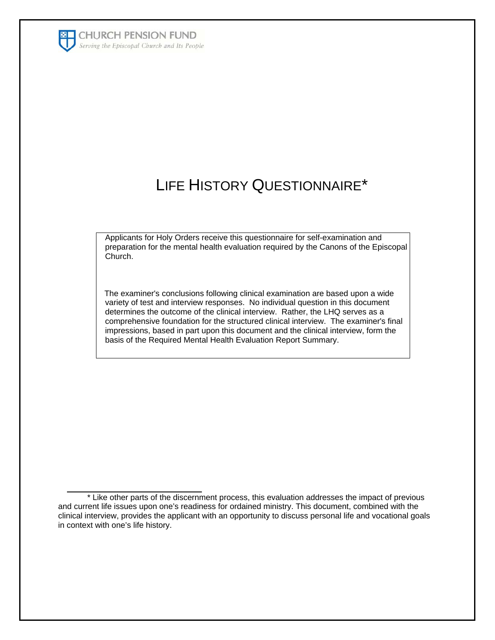

 $\overline{\phantom{a}}$  , which is a set of the set of the set of the set of the set of the set of the set of the set of the set of the set of the set of the set of the set of the set of the set of the set of the set of the set of th

## LIFE HISTORY QUESTIONNAIRE\*

Applicants for Holy Orders receive this questionnaire for self-examination and preparation for the mental health evaluation required by the Canons of the Episcopal Church.

 The examiner's conclusions following clinical examination are based upon a wide variety of test and interview responses. No individual question in this document determines the outcome of the clinical interview. Rather, the LHQ serves as a comprehensive foundation for the structured clinical interview. The examiner's final impressions, based in part upon this document and the clinical interview, form the basis of the Required Mental Health Evaluation Report Summary.

<sup>\*</sup> Like other parts of the discernment process, this evaluation addresses the impact of previous and current life issues upon one's readiness for ordained ministry. This document, combined with the clinical interview, provides the applicant with an opportunity to discuss personal life and vocational goals in context with one's life history.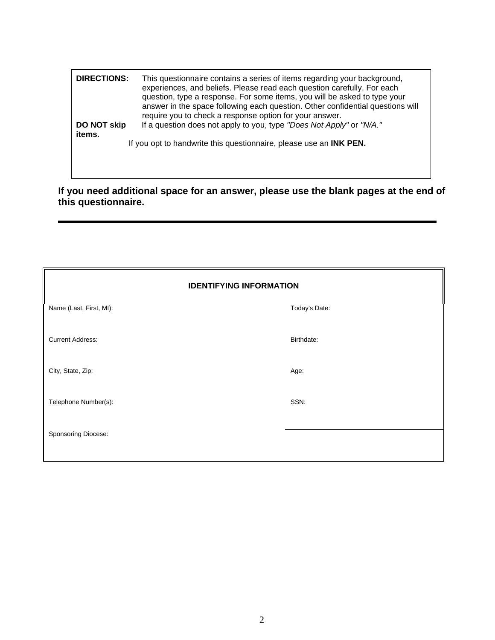| <b>DIRECTIONS:</b>    | This questionnaire contains a series of items regarding your background,<br>experiences, and beliefs. Please read each question carefully. For each<br>question, type a response. For some items, you will be asked to type your<br>answer in the space following each question. Other confidential questions will<br>require you to check a response option for your answer. |
|-----------------------|-------------------------------------------------------------------------------------------------------------------------------------------------------------------------------------------------------------------------------------------------------------------------------------------------------------------------------------------------------------------------------|
| DO NOT skip<br>items. | If a question does not apply to you, type "Does Not Apply" or "N/A."                                                                                                                                                                                                                                                                                                          |
|                       | If you opt to handwrite this questionnaire, please use an <b>INK PEN</b> .                                                                                                                                                                                                                                                                                                    |

**If you need additional space for an answer, please use the blank pages at the end of this questionnaire.** 

| <b>IDENTIFYING INFORMATION</b> |               |  |
|--------------------------------|---------------|--|
| Name (Last, First, MI):        | Today's Date: |  |
| <b>Current Address:</b>        | Birthdate:    |  |
| City, State, Zip:              | Age:          |  |
| Telephone Number(s):           | SSN:          |  |
| Sponsoring Diocese:            |               |  |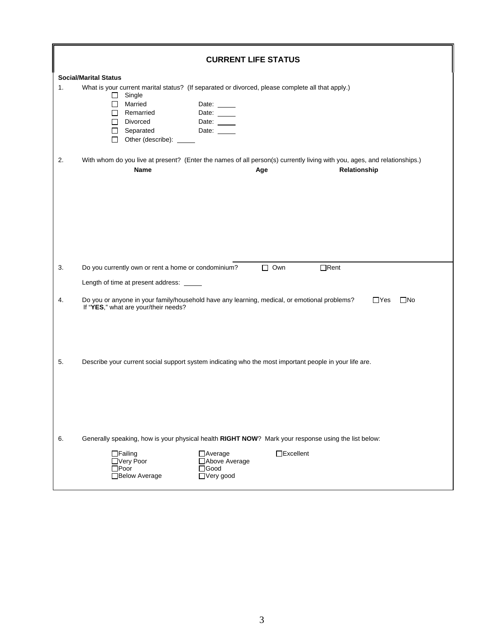|    | <b>CURRENT LIFE STATUS</b>                                                                                                                                                                                                                                    |
|----|---------------------------------------------------------------------------------------------------------------------------------------------------------------------------------------------------------------------------------------------------------------|
| 1. | <b>Social/Marital Status</b><br>What is your current marital status? (If separated or divorced, please complete all that apply.)<br>Single<br>□<br>$\Box$ Married<br>Date:<br>Remarried<br>Date:<br>П.<br>Divorced<br>П<br>Date:                              |
| 2. | $\Box$ Separated<br>Date:<br>□ Other (describe): <u></u><br>With whom do you live at present? (Enter the names of all person(s) currently living with you, ages, and relationships.)<br>Relationship<br>Name<br>Age                                           |
|    |                                                                                                                                                                                                                                                               |
| 3. | $\Box$ Own<br>$\Box$ Rent<br>Do you currently own or rent a home or condominium?<br>Length of time at present address: _____                                                                                                                                  |
| 4. | Do you or anyone in your family/household have any learning, medical, or emotional problems?<br>$\square$ No<br>$\Box$ Yes<br>If "YES," what are your/their needs?                                                                                            |
| 5. | Describe your current social support system indicating who the most important people in your life are.                                                                                                                                                        |
| 6. | Generally speaking, how is your physical health RIGHT NOW? Mark your response using the list below:<br>$\Box$ Excellent<br>$\Box$ Failing<br>$\Box$ Average<br>□Above Average<br>□Very Poor<br>$\square$ Good<br>$\Box$ Poor<br>□ Below Average<br>□Very good |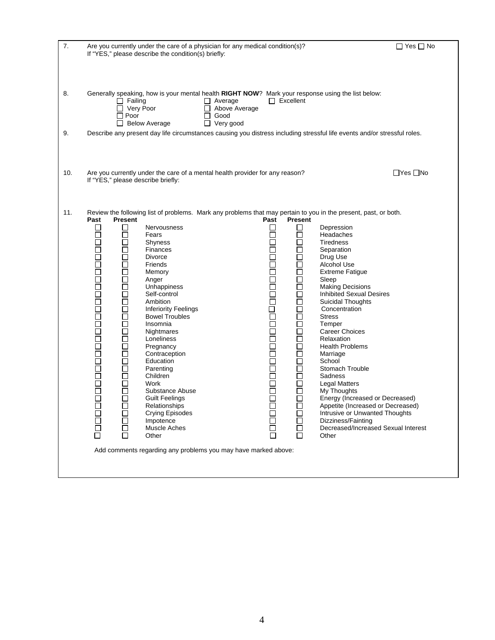| 7.  | Are you currently under the care of a physician for any medical condition(s)?<br>If "YES," please describe the condition(s) briefly:                                                                                                                                                                                                                                                                                                                                                                                                                                                                                                                                                                                                                                                                                                                                                                                                  |                                                                       |                                                                                                                                                                                                                                                                                                                                                                                                                             | $\Box$ Yes $\Box$ No                                                                                                                                                                                                                                                                                |
|-----|---------------------------------------------------------------------------------------------------------------------------------------------------------------------------------------------------------------------------------------------------------------------------------------------------------------------------------------------------------------------------------------------------------------------------------------------------------------------------------------------------------------------------------------------------------------------------------------------------------------------------------------------------------------------------------------------------------------------------------------------------------------------------------------------------------------------------------------------------------------------------------------------------------------------------------------|-----------------------------------------------------------------------|-----------------------------------------------------------------------------------------------------------------------------------------------------------------------------------------------------------------------------------------------------------------------------------------------------------------------------------------------------------------------------------------------------------------------------|-----------------------------------------------------------------------------------------------------------------------------------------------------------------------------------------------------------------------------------------------------------------------------------------------------|
| 8.  | Generally speaking, how is your mental health RIGHT NOW? Mark your response using the list below:<br>$\Box$ Failing<br>$\Box$ Average<br>$\Box$ Very Poor<br>$\Box$ Above Average<br>$\Box$ Poor<br>$\Box$ Good<br>□ Below Average<br>$\Box$ Very good                                                                                                                                                                                                                                                                                                                                                                                                                                                                                                                                                                                                                                                                                | $\Box$ Excellent                                                      |                                                                                                                                                                                                                                                                                                                                                                                                                             |                                                                                                                                                                                                                                                                                                     |
| 9.  | Describe any present day life circumstances causing you distress including stressful life events and/or stressful roles.                                                                                                                                                                                                                                                                                                                                                                                                                                                                                                                                                                                                                                                                                                                                                                                                              |                                                                       |                                                                                                                                                                                                                                                                                                                                                                                                                             |                                                                                                                                                                                                                                                                                                     |
| 10. | Are you currently under the care of a mental health provider for any reason?<br>If "YES," please describe briefly:                                                                                                                                                                                                                                                                                                                                                                                                                                                                                                                                                                                                                                                                                                                                                                                                                    |                                                                       |                                                                                                                                                                                                                                                                                                                                                                                                                             | $\Box$ Yes $\Box$ No                                                                                                                                                                                                                                                                                |
| 11. | Review the following list of problems. Mark any problems that may pertain to you in the present, past, or both.<br>Past<br><b>Present</b><br>1000000000000000000000000<br>$\Box$<br>Nervousness<br>П<br>Fears<br>□<br>Shyness<br>$\Box$<br>Finances<br>□<br><b>Divorce</b><br>$\Box$<br>Friends<br>$\Box$<br>Memory<br>$\Box$<br>Anger<br>□<br>Unhappiness<br>$\Box$<br>Self-control<br>$\Box$<br>Ambition<br>$\Box$<br><b>Inferiority Feelings</b><br>□<br><b>Bowel Troubles</b><br>$\Box$<br>Insomnia<br>$\Box$<br>Nightmares<br>$\Box$<br>Loneliness<br>□<br>Pregnancy<br>$\Box$<br>Contraception<br>$\Box$<br>Education<br>$\Box$<br>Parenting<br>$\Box$<br>Children<br>$\Box$<br>Work<br>□<br>Substance Abuse<br>П<br><b>Guilt Feelings</b><br>Relationships<br>00000<br>□<br><b>Crying Episodes</b><br>Impotence<br>$\Box$<br>Muscle Aches<br>□<br>П<br>Other<br>Add comments regarding any problems you may have marked above: | Past<br>$\Box$<br>$\Box$<br>1000000000000000000000<br>200<br>200<br>Ō | <b>Present</b><br>$\Box$<br>Depression<br>Headaches<br><b>Tiredness</b><br>Separation<br>Drug Use<br>$\Box$<br>Alcohol Use<br>□<br><b>Extreme Fatigue</b><br>□<br>Sleep<br>П<br>$\Box$<br>$\Box$<br>Concentration<br>$\Box$<br><b>Stress</b><br>ō<br>Temper<br><b>Career Choices</b><br>$\Box$<br>Relaxation<br>П<br>Marriage<br>School<br>$\Box$<br>Sadness<br><b>Legal Matters</b><br>My Thoughts<br>$\Box$<br>П<br>Other | <b>Making Decisions</b><br><b>Inhibited Sexual Desires</b><br>Suicidal Thoughts<br><b>Health Problems</b><br>Stomach Trouble<br>Energy (Increased or Decreased)<br>Appetite (Increased or Decreased)<br>Intrusive or Unwanted Thoughts<br>Dizziness/Fainting<br>Decreased/Increased Sexual Interest |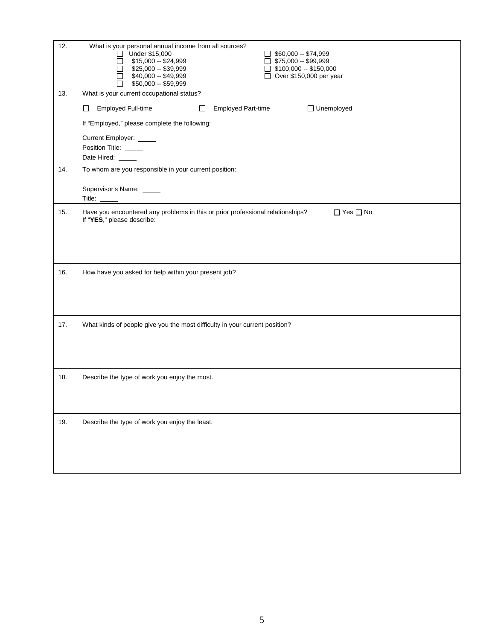| 12. | What is your personal annual income from all sources?<br>Under \$15,000<br>$\Box$ \$60,000 -- \$74,999<br>$\mathsf{L}$<br>\$15,000 -- \$24,999<br>$\Box$ \$75,000 -- \$99,999<br>\$25,000 -- \$39,999<br>$\Box$ \$100,000 -- \$150,000<br>\$40,000 -- \$49,999<br>$\Box$ Over \$150,000 per year<br>\$50,000 - \$59,999 |
|-----|-------------------------------------------------------------------------------------------------------------------------------------------------------------------------------------------------------------------------------------------------------------------------------------------------------------------------|
| 13. | What is your current occupational status?                                                                                                                                                                                                                                                                               |
|     | Employed Full-time<br>□ Unemployed<br><b>Employed Part-time</b><br>П<br>$\Box$                                                                                                                                                                                                                                          |
|     | If "Employed," please complete the following:                                                                                                                                                                                                                                                                           |
|     | Current Employer: _____<br>Position Title: ____<br>Date Hired: _____                                                                                                                                                                                                                                                    |
| 14. | To whom are you responsible in your current position:                                                                                                                                                                                                                                                                   |
|     | Supervisor's Name: _____<br>Title:                                                                                                                                                                                                                                                                                      |
| 15. | Have you encountered any problems in this or prior professional relationships?<br>$\Box$ Yes $\Box$ No<br>If "YES," please describe:                                                                                                                                                                                    |
| 16. | How have you asked for help within your present job?                                                                                                                                                                                                                                                                    |
| 17. | What kinds of people give you the most difficulty in your current position?                                                                                                                                                                                                                                             |
| 18. | Describe the type of work you enjoy the most.                                                                                                                                                                                                                                                                           |
| 19. | Describe the type of work you enjoy the least.                                                                                                                                                                                                                                                                          |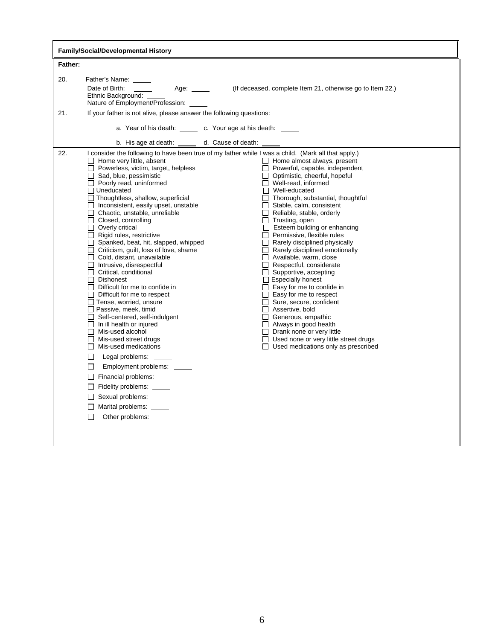|            | <b>Family/Social/Developmental History</b>                                                                                                                                                                                                                                                                                                                                                                                                                                                                                                                                                                                                                                                                                                                                                                                                                                                                                                                                                                                                                                                                                                                                                                                                                                                                                                                                                                                                                                                                                                                                                                                                                                                                                                                                                                                                                                                                                                                                                                                                                                                                                                                                                     |  |  |  |  |
|------------|------------------------------------------------------------------------------------------------------------------------------------------------------------------------------------------------------------------------------------------------------------------------------------------------------------------------------------------------------------------------------------------------------------------------------------------------------------------------------------------------------------------------------------------------------------------------------------------------------------------------------------------------------------------------------------------------------------------------------------------------------------------------------------------------------------------------------------------------------------------------------------------------------------------------------------------------------------------------------------------------------------------------------------------------------------------------------------------------------------------------------------------------------------------------------------------------------------------------------------------------------------------------------------------------------------------------------------------------------------------------------------------------------------------------------------------------------------------------------------------------------------------------------------------------------------------------------------------------------------------------------------------------------------------------------------------------------------------------------------------------------------------------------------------------------------------------------------------------------------------------------------------------------------------------------------------------------------------------------------------------------------------------------------------------------------------------------------------------------------------------------------------------------------------------------------------------|--|--|--|--|
| Father:    |                                                                                                                                                                                                                                                                                                                                                                                                                                                                                                                                                                                                                                                                                                                                                                                                                                                                                                                                                                                                                                                                                                                                                                                                                                                                                                                                                                                                                                                                                                                                                                                                                                                                                                                                                                                                                                                                                                                                                                                                                                                                                                                                                                                                |  |  |  |  |
| 20.<br>21. | Father's Name:<br>Date of Birth:<br>Age:<br>(If deceased, complete Item 21, otherwise go to Item 22.)<br>Ethnic Background:<br>Nature of Employment/Profession: _____<br>If your father is not alive, please answer the following questions:<br>a. Year of his death: ______ c. Your age at his death: _____                                                                                                                                                                                                                                                                                                                                                                                                                                                                                                                                                                                                                                                                                                                                                                                                                                                                                                                                                                                                                                                                                                                                                                                                                                                                                                                                                                                                                                                                                                                                                                                                                                                                                                                                                                                                                                                                                   |  |  |  |  |
|            | b. His age at death: ______ d. Cause of death:                                                                                                                                                                                                                                                                                                                                                                                                                                                                                                                                                                                                                                                                                                                                                                                                                                                                                                                                                                                                                                                                                                                                                                                                                                                                                                                                                                                                                                                                                                                                                                                                                                                                                                                                                                                                                                                                                                                                                                                                                                                                                                                                                 |  |  |  |  |
| 22.        | I consider the following to have been true of my father while I was a child. (Mark all that apply.)<br>$\Box$ Home very little, absent<br>$\Box$ Home almost always, present<br>$\Box$ Powerless, victim, target, helpless<br>$\Box$ Powerful, capable, independent<br>$\Box$ Sad, blue, pessimistic<br>□ Optimistic, cheerful, hopeful<br>$\Box$ Poorly read, uninformed<br>$\Box$ Well-read, informed<br>$\Box$ Uneducated<br>$\Box$ Well-educated<br>$\Box$ Thoughtless, shallow, superficial<br>$\Box$ Thorough, substantial, thoughtful<br>$\Box$ Inconsistent, easily upset, unstable<br>$\Box$ Stable, calm, consistent<br>$\Box$ Chaotic, unstable, unreliable<br>$\Box$ Reliable, stable, orderly<br>$\Box$ Trusting, open<br>$\Box$ Closed, controlling<br>$\Box$ Overly critical<br>$\Box$ Esteem building or enhancing<br>$\Box$ Permissive, flexible rules<br>$\Box$ Rigid rules, restrictive<br>Spanked, beat, hit, slapped, whipped<br>$\Box$ Rarely disciplined physically<br>$\Box$ Criticism, guilt, loss of love, shame<br>$\Box$ Rarely disciplined emotionally<br>$\Box$ Cold, distant, unavailable<br>Available, warm, close<br>$\Box$ Intrusive, disrespectful<br>$\Box$ Respectful, considerate<br>$\Box$ Critical, conditional<br>$\Box$ Supportive, accepting<br>$\Box$ Especially honest<br>$\Box$ Dishonest<br>$\Box$ Easy for me to confide in<br>$\Box$ Difficult for me to confide in<br>$\Box$ Easy for me to respect<br>$\Box$ Difficult for me to respect<br>$\Box$ Sure, secure, confident<br>$\Box$ Tense, worried, unsure<br>Assertive, bold<br>$\Box$ Passive, meek, timid<br>$\Box$ Self-centered, self-indulgent<br>$\Box$ Generous, empathic<br>$\Box$ In ill health or injured<br>$\Box$ Always in good health<br>Mis-used alcohol<br>$\Box$ Drank none or very little<br>$\Box$ Used none or very little street drugs<br>$\Box$ Mis-used street drugs<br>$\Box$ Mis-used medications<br>$\Box$ Used medications only as prescribed<br>□<br>Legal problems: _____<br>Employment problems:<br>П<br>Financial problems: _____<br>$\Box$ Fidelity problems: $\Box$<br>Sexual problems: _____<br>$\Box$ Marital problems: $\_\_$<br>□<br>Other problems: |  |  |  |  |

 $\mathsf{I}$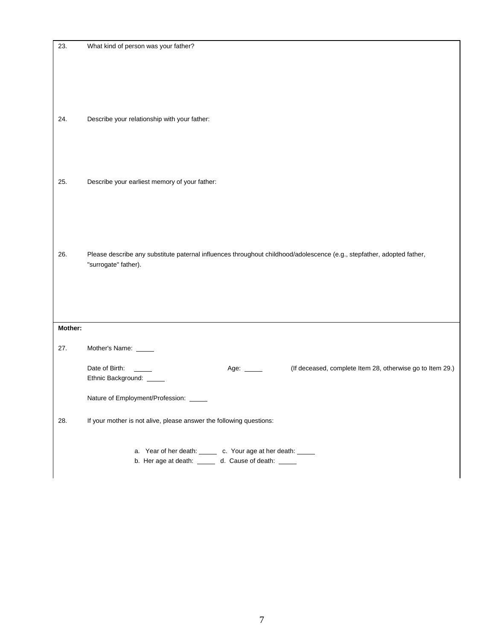| 23.     | What kind of person was your father?                                                                                                           |
|---------|------------------------------------------------------------------------------------------------------------------------------------------------|
|         |                                                                                                                                                |
|         |                                                                                                                                                |
|         |                                                                                                                                                |
| 24.     | Describe your relationship with your father:                                                                                                   |
|         |                                                                                                                                                |
|         |                                                                                                                                                |
|         |                                                                                                                                                |
| 25.     | Describe your earliest memory of your father:                                                                                                  |
|         |                                                                                                                                                |
|         |                                                                                                                                                |
|         |                                                                                                                                                |
| 26.     | Please describe any substitute paternal influences throughout childhood/adolescence (e.g., stepfather, adopted father,<br>"surrogate" father). |
|         |                                                                                                                                                |
|         |                                                                                                                                                |
|         |                                                                                                                                                |
| Mother: |                                                                                                                                                |
| 27.     | Mother's Name: _____                                                                                                                           |
|         | Date of Birth:<br>(If deceased, complete Item 28, otherwise go to Item 29.)<br>Age: ______                                                     |
|         | Ethnic Background: _____                                                                                                                       |
|         | Nature of Employment/Profession:                                                                                                               |
| 28.     | If your mother is not alive, please answer the following questions:                                                                            |
|         |                                                                                                                                                |
|         | a. Year of her death: ______ c. Your age at her death: _____<br>b. Her age at death: ______ d. Cause of death: _____                           |
|         |                                                                                                                                                |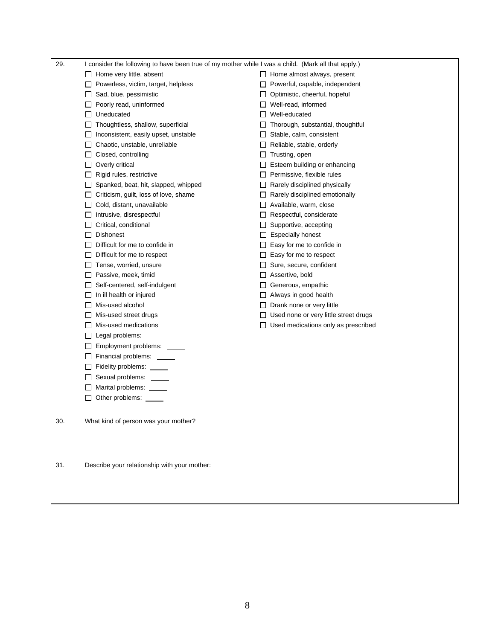| 29. | I consider the following to have been true of my mother while I was a child. (Mark all that apply.) |                                              |
|-----|-----------------------------------------------------------------------------------------------------|----------------------------------------------|
|     | $\Box$ Home very little, absent                                                                     | $\Box$ Home almost always, present           |
|     | $\Box$ Powerless, victim, target, helpless                                                          | $\Box$ Powerful, capable, independent        |
|     | $\Box$ Sad, blue, pessimistic                                                                       | $\Box$ Optimistic, cheerful, hopeful         |
|     | $\Box$ Poorly read, uninformed                                                                      | $\Box$ Well-read, informed                   |
|     | $\Box$ Uneducated                                                                                   | $\Box$ Well-educated                         |
|     | $\Box$ Thoughtless, shallow, superficial                                                            | $\Box$ Thorough, substantial, thoughtful     |
|     | $\Box$ Inconsistent, easily upset, unstable                                                         | $\Box$ Stable, calm, consistent              |
|     | $\Box$ Chaotic, unstable, unreliable                                                                | $\Box$ Reliable, stable, orderly             |
|     | $\Box$ Closed, controlling                                                                          | $\Box$ Trusting, open                        |
|     | $\Box$ Overly critical                                                                              | $\Box$ Esteem building or enhancing          |
|     | $\Box$ Rigid rules, restrictive                                                                     | $\Box$ Permissive, flexible rules            |
|     | $\Box$ Spanked, beat, hit, slapped, whipped                                                         | $\Box$ Rarely disciplined physically         |
|     | $\Box$ Criticism, guilt, loss of love, shame                                                        | $\Box$ Rarely disciplined emotionally        |
|     | $\Box$ Cold, distant, unavailable                                                                   | $\Box$ Available, warm, close                |
|     | $\Box$ Intrusive, disrespectful                                                                     | $\Box$ Respectful, considerate               |
|     | $\Box$ Critical, conditional                                                                        | $\Box$ Supportive, accepting                 |
|     | $\Box$ Dishonest                                                                                    | $\Box$ Especially honest                     |
|     | $\Box$ Difficult for me to confide in                                                               | $\Box$ Easy for me to confide in             |
|     | $\Box$ Difficult for me to respect                                                                  | $\Box$ Easy for me to respect                |
|     | $\Box$ Tense, worried, unsure                                                                       | $\Box$ Sure, secure, confident               |
|     | Passive, meek, timid                                                                                | $\Box$ Assertive, bold                       |
|     | $\Box$ Self-centered, self-indulgent                                                                | $\Box$ Generous, empathic                    |
|     | $\Box$ In ill health or injured                                                                     | $\Box$ Always in good health                 |
|     | $\Box$ Mis-used alcohol                                                                             | $\Box$ Drank none or very little             |
|     | $\Box$ Mis-used street drugs                                                                        | $\Box$ Used none or very little street drugs |
|     | $\Box$ Mis-used medications                                                                         | $\Box$ Used medications only as prescribed   |
|     | $\Box$ Legal problems:                                                                              |                                              |
|     | Employment problems: _____                                                                          |                                              |
|     | $\Box$ Financial problems: $\Box$                                                                   |                                              |
|     | $\Box$ Fidelity problems: $\Box$                                                                    |                                              |
|     | $\Box$ Sexual problems: $\Box$                                                                      |                                              |
|     | $\Box$ Marital problems: $\Box$                                                                     |                                              |
|     | $\Box$ Other problems:                                                                              |                                              |
|     |                                                                                                     |                                              |
| 30. | What kind of person was your mother?                                                                |                                              |
|     |                                                                                                     |                                              |
| 31. | Describe your relationship with your mother:                                                        |                                              |
|     |                                                                                                     |                                              |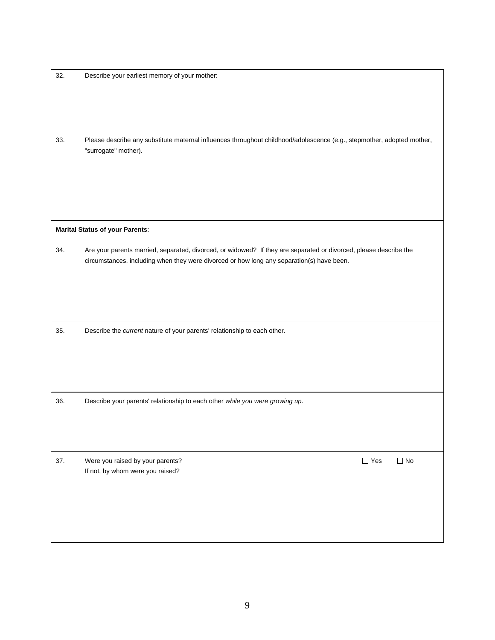| 32. | Describe your earliest memory of your mother:                                                                          |
|-----|------------------------------------------------------------------------------------------------------------------------|
|     |                                                                                                                        |
|     |                                                                                                                        |
|     |                                                                                                                        |
|     |                                                                                                                        |
|     |                                                                                                                        |
| 33. | Please describe any substitute maternal influences throughout childhood/adolescence (e.g., stepmother, adopted mother, |
|     | "surrogate" mother).                                                                                                   |
|     |                                                                                                                        |
|     |                                                                                                                        |
|     |                                                                                                                        |
|     |                                                                                                                        |
|     |                                                                                                                        |
|     |                                                                                                                        |
|     | <b>Marital Status of your Parents:</b>                                                                                 |
| 34. | Are your parents married, separated, divorced, or widowed? If they are separated or divorced, please describe the      |
|     | circumstances, including when they were divorced or how long any separation(s) have been.                              |
|     |                                                                                                                        |
|     |                                                                                                                        |
|     |                                                                                                                        |
|     |                                                                                                                        |
|     |                                                                                                                        |
|     |                                                                                                                        |
| 35. | Describe the current nature of your parents' relationship to each other.                                               |
|     |                                                                                                                        |
|     |                                                                                                                        |
|     |                                                                                                                        |
|     |                                                                                                                        |
|     |                                                                                                                        |
| 36. | Describe your parents' relationship to each other while you were growing up.                                           |
|     |                                                                                                                        |
|     |                                                                                                                        |
|     |                                                                                                                        |
|     |                                                                                                                        |
|     |                                                                                                                        |
| 37. | $\Box$ No<br>Were you raised by your parents?<br>$\Box$ Yes                                                            |
|     | If not, by whom were you raised?                                                                                       |
|     |                                                                                                                        |
|     |                                                                                                                        |
|     |                                                                                                                        |
|     |                                                                                                                        |
|     |                                                                                                                        |
|     |                                                                                                                        |
|     |                                                                                                                        |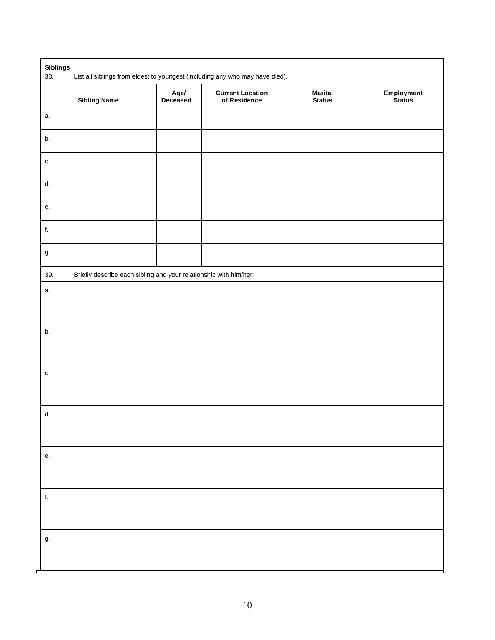| <b>Sibling Name</b> | Age/<br>Deceased                                                  | <b>Current Location</b><br>of Residence | <b>Marital</b><br><b>Status</b> | Employment<br>Status |
|---------------------|-------------------------------------------------------------------|-----------------------------------------|---------------------------------|----------------------|
| а.                  |                                                                   |                                         |                                 |                      |
| b.                  |                                                                   |                                         |                                 |                      |
| c.                  |                                                                   |                                         |                                 |                      |
| d.                  |                                                                   |                                         |                                 |                      |
| е.                  |                                                                   |                                         |                                 |                      |
| f.                  |                                                                   |                                         |                                 |                      |
| g.                  |                                                                   |                                         |                                 |                      |
| 39.                 | Briefly describe each sibling and your relationship with him/her: |                                         |                                 |                      |
| b.                  |                                                                   |                                         |                                 |                      |
| c.                  |                                                                   |                                         |                                 |                      |
|                     |                                                                   |                                         |                                 |                      |
| d.                  |                                                                   |                                         |                                 |                      |
| е.                  |                                                                   |                                         |                                 |                      |
| $\mathsf{f}.$       |                                                                   |                                         |                                 |                      |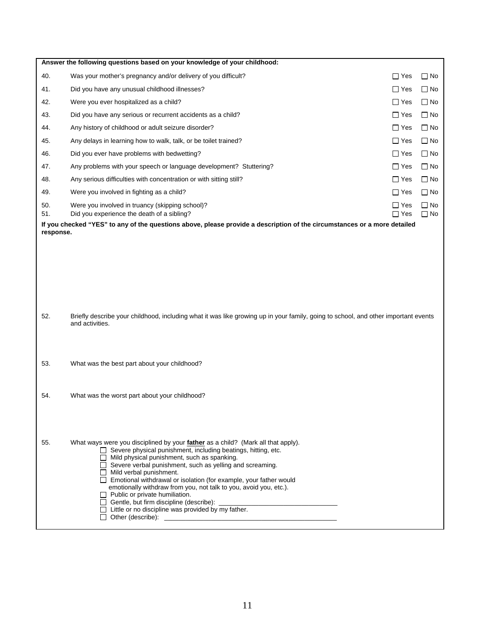|           | Answer the following questions based on your knowledge of your childhood:                                                                                              |            |           |
|-----------|------------------------------------------------------------------------------------------------------------------------------------------------------------------------|------------|-----------|
| 40.       | Was your mother's pregnancy and/or delivery of you difficult?                                                                                                          | $\Box$ Yes | $\Box$ No |
| 41.       | Did you have any unusual childhood illnesses?                                                                                                                          | $\Box$ Yes | $\Box$ No |
| 42.       | Were you ever hospitalized as a child?                                                                                                                                 | $\Box$ Yes | $\Box$ No |
| 43.       | Did you have any serious or recurrent accidents as a child?                                                                                                            | $\Box$ Yes | $\Box$ No |
| 44.       | Any history of childhood or adult seizure disorder?                                                                                                                    | $\Box$ Yes | $\Box$ No |
| 45.       | Any delays in learning how to walk, talk, or be toilet trained?                                                                                                        | $\Box$ Yes | $\Box$ No |
| 46.       | Did you ever have problems with bedwetting?                                                                                                                            | $\Box$ Yes | $\Box$ No |
| 47.       | Any problems with your speech or language development? Stuttering?                                                                                                     | $\Box$ Yes | $\Box$ No |
| 48.       | Any serious difficulties with concentration or with sitting still?                                                                                                     | $\Box$ Yes | $\Box$ No |
| 49.       | Were you involved in fighting as a child?                                                                                                                              | $\Box$ Yes | $\Box$ No |
| 50.       | Were you involved in truancy (skipping school)?                                                                                                                        | $\Box$ Yes | $\Box$ No |
| 51.       | Did you experience the death of a sibling?<br>If you checked "YES" to any of the questions above, please provide a description of the circumstances or a more detailed | $\Box$ Yes | $\Box$ No |
| response. |                                                                                                                                                                        |            |           |
|           |                                                                                                                                                                        |            |           |
|           |                                                                                                                                                                        |            |           |
|           |                                                                                                                                                                        |            |           |
|           |                                                                                                                                                                        |            |           |
|           |                                                                                                                                                                        |            |           |
| 52.       | Briefly describe your childhood, including what it was like growing up in your family, going to school, and other important events                                     |            |           |
|           | and activities.                                                                                                                                                        |            |           |
|           |                                                                                                                                                                        |            |           |
|           |                                                                                                                                                                        |            |           |
| 53.       | What was the best part about your childhood?                                                                                                                           |            |           |
|           |                                                                                                                                                                        |            |           |
| 54.       | What was the worst part about your childhood?                                                                                                                          |            |           |
|           |                                                                                                                                                                        |            |           |
|           |                                                                                                                                                                        |            |           |
|           |                                                                                                                                                                        |            |           |
| 55.       | What ways were you disciplined by your father as a child? (Mark all that apply).<br>$\Box$ Severe physical punishment, including beatings, hitting, etc.               |            |           |
|           | $\Box$ Mild physical punishment, such as spanking.<br>Severe verbal punishment, such as yelling and screaming.                                                         |            |           |
|           | $\Box$ Mild verbal punishment.                                                                                                                                         |            |           |
|           | □ Emotional withdrawal or isolation (for example, your father would<br>emotionally withdraw from you, not talk to you, avoid you, etc.).                               |            |           |
|           | $\Box$ Public or private humiliation.                                                                                                                                  |            |           |
|           | $\Box$ Little or no discipline was provided by my father.                                                                                                              |            |           |
|           |                                                                                                                                                                        |            |           |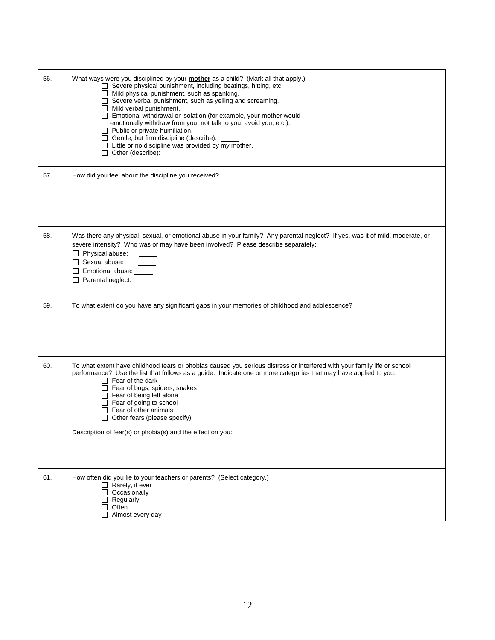| 56. | What ways were you disciplined by your mother as a child? (Mark all that apply.)<br>Severe physical punishment, including beatings, hitting, etc.<br>Mild physical punishment, such as spanking.<br>$\Box$ Severe verbal punishment, such as yelling and screaming.<br>$\Box$ Mild verbal punishment.<br>□ Emotional withdrawal or isolation (for example, your mother would<br>emotionally withdraw from you, not talk to you, avoid you, etc.).<br>$\Box$ Public or private humiliation.<br>$\Box$ Gentle, but firm discipline (describe):<br>$\Box$ Little or no discipline was provided by my mother.<br>$\Box$ Other (describe): $\_\_$ |
|-----|----------------------------------------------------------------------------------------------------------------------------------------------------------------------------------------------------------------------------------------------------------------------------------------------------------------------------------------------------------------------------------------------------------------------------------------------------------------------------------------------------------------------------------------------------------------------------------------------------------------------------------------------|
| 57. | How did you feel about the discipline you received?                                                                                                                                                                                                                                                                                                                                                                                                                                                                                                                                                                                          |
| 58. | Was there any physical, sexual, or emotional abuse in your family? Any parental neglect? If yes, was it of mild, moderate, or<br>severe intensity? Who was or may have been involved? Please describe separately:<br>$\Box$ Physical abuse:<br>$\Box$ Sexual abuse:<br>Emotional abuse: _____<br>Parental neglect: _____                                                                                                                                                                                                                                                                                                                     |
| 59. | To what extent do you have any significant gaps in your memories of childhood and adolescence?                                                                                                                                                                                                                                                                                                                                                                                                                                                                                                                                               |
| 60. | To what extent have childhood fears or phobias caused you serious distress or interfered with your family life or school<br>performance? Use the list that follows as a guide. Indicate one or more categories that may have applied to you.<br>$\Box$ Fear of the dark<br>$\Box$ Fear of bugs, spiders, snakes<br>$\Box$ Fear of being left alone<br>$\Box$ Fear of going to school<br>$\Box$ Fear of other animals<br>□ Other fears (please specify): _____<br>Description of fear(s) or phobia(s) and the effect on you:                                                                                                                  |
| 61. | How often did you lie to your teachers or parents? (Select category.)<br>$\Box$ Rarely, if ever<br>$\Box$ Occasionally<br>Regularly<br>$\Box$ Often<br>$\Box$ Almost every day                                                                                                                                                                                                                                                                                                                                                                                                                                                               |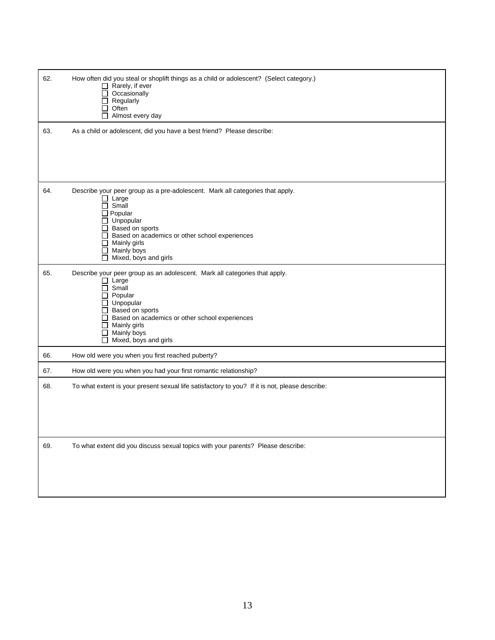| 62. | How often did you steal or shoplift things as a child or adolescent? (Select category.)<br>$\Box$ Rarely, if ever<br>$\Box$ Occasionally<br>$\Box$ Regularly<br>$\Box$ Often<br>$\Box$ Almost every day                                                                                                 |
|-----|---------------------------------------------------------------------------------------------------------------------------------------------------------------------------------------------------------------------------------------------------------------------------------------------------------|
| 63. | As a child or adolescent, did you have a best friend? Please describe:                                                                                                                                                                                                                                  |
| 64. | Describe your peer group as a pre-adolescent. Mark all categories that apply.<br>$\Box$ Large<br>$\Box$ Small<br>$\Box$ Popular<br>$\Box$ Unpopular<br>Based on sports<br>□ Based on academics or other school experiences<br>$\Box$ Mainly girls<br>$\Box$ Mainly boys<br>$\Box$ Mixed, boys and girls |
| 65. | Describe your peer group as an adolescent. Mark all categories that apply.<br>$\Box$ Large<br>$\Box$ Small<br>Popular<br>$\Box$<br>$\Box$ Unpopular<br>Based on sports<br>□ Based on academics or other school experiences<br>$\Box$ Mainly girls<br>$\Box$ Mainly boys<br>$\Box$ Mixed, boys and girls |
| 66. | How old were you when you first reached puberty?                                                                                                                                                                                                                                                        |
| 67. | How old were you when you had your first romantic relationship?                                                                                                                                                                                                                                         |
| 68. | To what extent is your present sexual life satisfactory to you? If it is not, please describe:                                                                                                                                                                                                          |
| 69. | To what extent did you discuss sexual topics with your parents? Please describe:                                                                                                                                                                                                                        |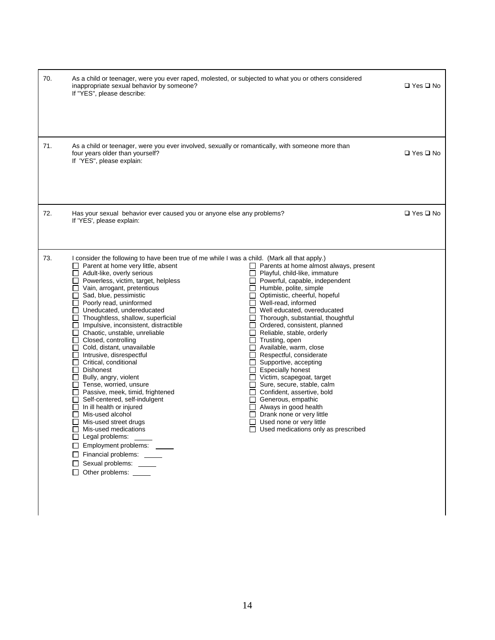| 70. | As a child or teenager, were you ever raped, molested, or subjected to what you or others considered<br>inappropriate sexual behavior by someone?<br>If "YES", please describe:                                                                                                                                                                                                                                                                                                                                                                                                                                                                                                                                                                                                                                                                                                                                                                                                                                                                                                |                                                                                                                                                                                                                                                                                                                                                                                                                                                                                                                                                                                                                                                                                                                                                                                                                                  | $\Box$ Yes $\Box$ No |
|-----|--------------------------------------------------------------------------------------------------------------------------------------------------------------------------------------------------------------------------------------------------------------------------------------------------------------------------------------------------------------------------------------------------------------------------------------------------------------------------------------------------------------------------------------------------------------------------------------------------------------------------------------------------------------------------------------------------------------------------------------------------------------------------------------------------------------------------------------------------------------------------------------------------------------------------------------------------------------------------------------------------------------------------------------------------------------------------------|----------------------------------------------------------------------------------------------------------------------------------------------------------------------------------------------------------------------------------------------------------------------------------------------------------------------------------------------------------------------------------------------------------------------------------------------------------------------------------------------------------------------------------------------------------------------------------------------------------------------------------------------------------------------------------------------------------------------------------------------------------------------------------------------------------------------------------|----------------------|
| 71. | As a child or teenager, were you ever involved, sexually or romantically, with someone more than<br>four years older than yourself?<br>If 'YES", please explain:                                                                                                                                                                                                                                                                                                                                                                                                                                                                                                                                                                                                                                                                                                                                                                                                                                                                                                               |                                                                                                                                                                                                                                                                                                                                                                                                                                                                                                                                                                                                                                                                                                                                                                                                                                  | $\Box$ Yes $\Box$ No |
| 72. | Has your sexual behavior ever caused you or anyone else any problems?<br>If 'YES', please explain:                                                                                                                                                                                                                                                                                                                                                                                                                                                                                                                                                                                                                                                                                                                                                                                                                                                                                                                                                                             |                                                                                                                                                                                                                                                                                                                                                                                                                                                                                                                                                                                                                                                                                                                                                                                                                                  | $\Box$ Yes $\Box$ No |
| 73. | I consider the following to have been true of me while I was a child. (Mark all that apply.)<br>$\Box$ Parent at home very little, absent<br>$\Box$ Adult-like, overly serious<br>$\Box$ Powerless, victim, target, helpless<br>$\Box$ Vain, arrogant, pretentious<br>$\Box$ Sad, blue, pessimistic<br>Poorly read, uninformed<br>□ Uneducated, undereducated<br>$\Box$ Thoughtless, shallow, superficial<br>$\Box$ Impulsive, inconsistent, distractible<br>$\Box$ Chaotic, unstable, unreliable<br>$\Box$ Closed, controlling<br>$\Box$ Cold, distant, unavailable<br>$\Box$ Intrusive, disrespectful<br>$\Box$ Critical, conditional<br>$\Box$ Dishonest<br>$\Box$ Bully, angry, violent<br>$\Box$ Tense, worried, unsure<br>$\Box$ Passive, meek, timid, frightened<br>Self-centered, self-indulgent<br>$\Box$ In ill health or injured<br>$\Box$ Mis-used alcohol<br>$\Box$ Mis-used street drugs<br>$\Box$ Mis-used medications<br>$\Box$ Legal problems:<br>Employment problems: ____<br>$\Box$ Financial problems:<br>Sexual problems: _____<br>□ Other problems: ____ | $\Box$ Parents at home almost always, present<br>$\Box$ Playful, child-like, immature<br>$\Box$ Powerful, capable, independent<br>$\Box$ Humble, polite, simple<br>□ Optimistic, cheerful, hopeful<br>$\Box$ Well-read, informed<br>$\Box$ Well educated, overeducated<br>$\Box$ Thorough, substantial, thoughtful<br>$\Box$ Ordered, consistent, planned<br>$\Box$ Reliable, stable, orderly<br>$\Box$ Trusting, open<br>$\Box$ Available, warm, close<br>$\Box$ Respectful, considerate<br>$\Box$ Supportive, accepting<br>$\Box$ Especially honest<br>Victim, scapegoat, target<br>Sure, secure, stable, calm<br>$\Box$ Confident, assertive, bold<br>Generous, empathic<br>$\Box$ Always in good health<br>$\Box$ Drank none or very little<br>$\Box$ Used none or very little<br>$\Box$ Used medications only as prescribed |                      |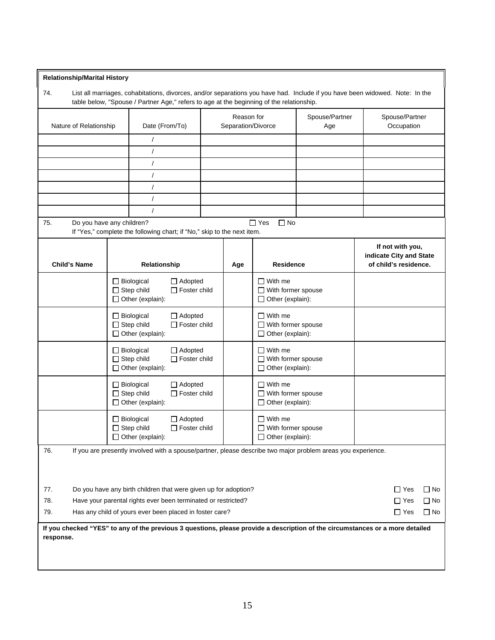## **Relationship/Marital History**

74. List all marriages, cohabitations, divorces, and/or separations you have had. Include if you have been widowed. Note: In the table below, "Spouse / Partner Age," refers to age at the beginning of the relationship.

| Nature of Relationship                                                                                              |                                                                                                                                                                                          | Date (From/To)                                                                                             |  |     | Reason for<br>Separation/Divorce                                       |  | Spouse/Partner<br>Occupation                                         |
|---------------------------------------------------------------------------------------------------------------------|------------------------------------------------------------------------------------------------------------------------------------------------------------------------------------------|------------------------------------------------------------------------------------------------------------|--|-----|------------------------------------------------------------------------|--|----------------------------------------------------------------------|
|                                                                                                                     |                                                                                                                                                                                          | $\prime$                                                                                                   |  |     |                                                                        |  |                                                                      |
|                                                                                                                     |                                                                                                                                                                                          | $\prime$                                                                                                   |  |     |                                                                        |  |                                                                      |
|                                                                                                                     |                                                                                                                                                                                          | $\prime$                                                                                                   |  |     |                                                                        |  |                                                                      |
|                                                                                                                     |                                                                                                                                                                                          | $\prime$                                                                                                   |  |     |                                                                        |  |                                                                      |
|                                                                                                                     |                                                                                                                                                                                          | $\prime$                                                                                                   |  |     |                                                                        |  |                                                                      |
|                                                                                                                     |                                                                                                                                                                                          | $\sqrt{ }$                                                                                                 |  |     |                                                                        |  |                                                                      |
|                                                                                                                     |                                                                                                                                                                                          | $\sqrt{ }$                                                                                                 |  |     |                                                                        |  |                                                                      |
| Do you have any children?<br>75.                                                                                    |                                                                                                                                                                                          | If "Yes," complete the following chart; if "No," skip to the next item.                                    |  |     | $\Box$ Yes<br>$\Box$ No                                                |  |                                                                      |
| <b>Child's Name</b>                                                                                                 |                                                                                                                                                                                          | Relationship                                                                                               |  | Age | <b>Residence</b>                                                       |  | If not with you,<br>indicate City and State<br>of child's residence. |
|                                                                                                                     |                                                                                                                                                                                          | $\Box$ Biological<br>$\Box$ Adopted<br>$\Box$ Step child<br>$\Box$ Foster child<br>$\Box$ Other (explain): |  |     | $\Box$ With me<br>$\Box$ With former spouse<br>$\Box$ Other (explain): |  |                                                                      |
|                                                                                                                     |                                                                                                                                                                                          | $\Box$ Biological<br>$\Box$ Adopted<br>$\Box$ Step child<br>$\Box$ Foster child<br>□ Other (explain):      |  |     | $\Box$ With me<br>$\Box$ With former spouse<br>$\Box$ Other (explain): |  |                                                                      |
|                                                                                                                     |                                                                                                                                                                                          | □ Biological<br>$\Box$ Adopted<br>$\Box$ Step child<br>$\Box$ Foster child<br>Other (explain):             |  |     | $\Box$ With me<br>$\Box$ With former spouse<br>$\Box$ Other (explain): |  |                                                                      |
|                                                                                                                     |                                                                                                                                                                                          | $\Box$ Biological<br>$\Box$ Adopted<br>$\Box$ Step child<br>$\Box$ Foster child<br>$\Box$ Other (explain): |  |     | $\Box$ With me<br>$\Box$ With former spouse<br>Other (explain):        |  |                                                                      |
|                                                                                                                     |                                                                                                                                                                                          | $\Box$ Biological<br>$\Box$ Adopted<br>$\Box$ Step child<br>$\Box$ Foster child<br>$\Box$ Other (explain): |  |     | $\Box$ With me<br>$\Box$ With former spouse<br>Other (explain):        |  |                                                                      |
| If you are presently involved with a spouse/partner, please describe two major problem areas you experience.<br>76. |                                                                                                                                                                                          |                                                                                                            |  |     |                                                                        |  |                                                                      |
| 77.                                                                                                                 |                                                                                                                                                                                          | Do you have any birth children that were given up for adoption?                                            |  |     |                                                                        |  | $\Box$ Yes<br>$\Box$ No                                              |
| 78.<br>Have your parental rights ever been terminated or restricted?                                                |                                                                                                                                                                                          |                                                                                                            |  |     |                                                                        |  | $\Box$ No<br>$\Box$ Yes                                              |
| 79.                                                                                                                 |                                                                                                                                                                                          |                                                                                                            |  |     |                                                                        |  | $\Box$ No<br>$\Box$ Yes                                              |
| response.                                                                                                           | Has any child of yours ever been placed in foster care?<br>If you checked "YES" to any of the previous 3 questions, please provide a description of the circumstances or a more detailed |                                                                                                            |  |     |                                                                        |  |                                                                      |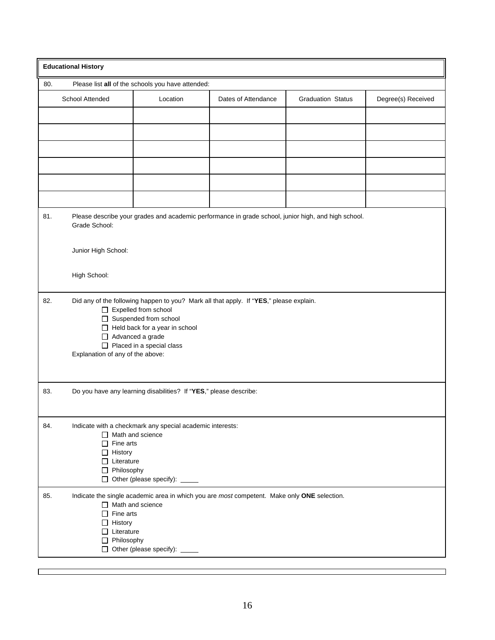|     | <b>Educational History</b>                                                                                                                                                                                                                                                            |                                                                   |                                                                                             |                                                                                                     |                    |  |  |  |  |
|-----|---------------------------------------------------------------------------------------------------------------------------------------------------------------------------------------------------------------------------------------------------------------------------------------|-------------------------------------------------------------------|---------------------------------------------------------------------------------------------|-----------------------------------------------------------------------------------------------------|--------------------|--|--|--|--|
| 80. | Please list all of the schools you have attended:                                                                                                                                                                                                                                     |                                                                   |                                                                                             |                                                                                                     |                    |  |  |  |  |
|     | School Attended                                                                                                                                                                                                                                                                       | Location                                                          | Dates of Attendance                                                                         | <b>Graduation Status</b>                                                                            | Degree(s) Received |  |  |  |  |
|     |                                                                                                                                                                                                                                                                                       |                                                                   |                                                                                             |                                                                                                     |                    |  |  |  |  |
|     |                                                                                                                                                                                                                                                                                       |                                                                   |                                                                                             |                                                                                                     |                    |  |  |  |  |
|     |                                                                                                                                                                                                                                                                                       |                                                                   |                                                                                             |                                                                                                     |                    |  |  |  |  |
|     |                                                                                                                                                                                                                                                                                       |                                                                   |                                                                                             |                                                                                                     |                    |  |  |  |  |
| 81. | Grade School:                                                                                                                                                                                                                                                                         |                                                                   |                                                                                             | Please describe your grades and academic performance in grade school, junior high, and high school. |                    |  |  |  |  |
|     | Junior High School:                                                                                                                                                                                                                                                                   |                                                                   |                                                                                             |                                                                                                     |                    |  |  |  |  |
|     | High School:                                                                                                                                                                                                                                                                          |                                                                   |                                                                                             |                                                                                                     |                    |  |  |  |  |
| 82. | Did any of the following happen to you? Mark all that apply. If "YES," please explain.<br>$\Box$ Expelled from school<br>□ Suspended from school<br>$\Box$ Held back for a year in school<br>Advanced a grade<br>$\Box$ Placed in a special class<br>Explanation of any of the above: |                                                                   |                                                                                             |                                                                                                     |                    |  |  |  |  |
| 83. |                                                                                                                                                                                                                                                                                       | Do you have any learning disabilities? If "YES," please describe: |                                                                                             |                                                                                                     |                    |  |  |  |  |
| 84. | Indicate with a checkmark any special academic interests:<br>$\Box$ Math and science<br>$\Box$ Fine arts<br>$\Box$ History<br>$\Box$ Literature<br>$\Box$ Philosophy<br>□ Other (please specify): _____                                                                               |                                                                   |                                                                                             |                                                                                                     |                    |  |  |  |  |
| 85. | $\Box$ Math and science<br>$\Box$ Fine arts<br>$\Box$ History<br>$\Box$ Literature<br>$\Box$ Philosophy                                                                                                                                                                               | □ Other (please specify): _____                                   | Indicate the single academic area in which you are most competent. Make only ONE selection. |                                                                                                     |                    |  |  |  |  |

٦

 $\mathbf I$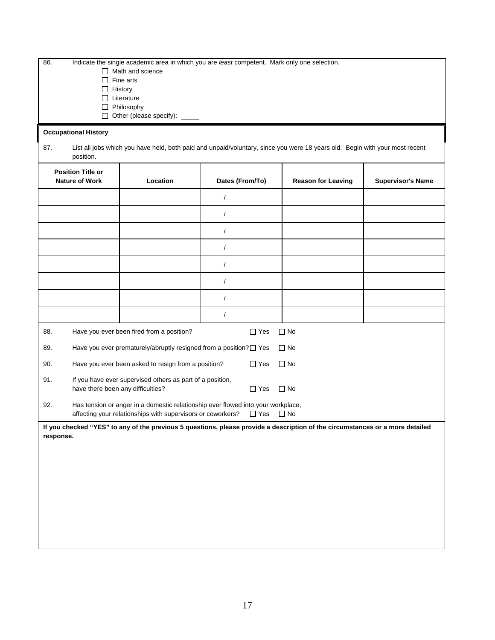| 86.       | Indicate the single academic area in which you are least competent. Mark only one selection.<br>$\Box$ Math and science<br>Fine arts<br>$\perp$<br>$\Box$ History<br>$\Box$ Literature<br>$\Box$ Philosophy<br>□ Other (please specify): ____ |                                                                    |                |                                                                                                                               |  |  |  |
|-----------|-----------------------------------------------------------------------------------------------------------------------------------------------------------------------------------------------------------------------------------------------|--------------------------------------------------------------------|----------------|-------------------------------------------------------------------------------------------------------------------------------|--|--|--|
|           | <b>Occupational History</b>                                                                                                                                                                                                                   |                                                                    |                |                                                                                                                               |  |  |  |
| 87.       | position.                                                                                                                                                                                                                                     |                                                                    |                | List all jobs which you have held, both paid and unpaid/voluntary, since you were 18 years old. Begin with your most recent   |  |  |  |
|           | <b>Position Title or</b><br><b>Nature of Work</b><br>Location<br>Dates (From/To)<br><b>Reason for Leaving</b><br><b>Supervisor's Name</b>                                                                                                     |                                                                    |                |                                                                                                                               |  |  |  |
|           |                                                                                                                                                                                                                                               |                                                                    | $\overline{1}$ |                                                                                                                               |  |  |  |
|           |                                                                                                                                                                                                                                               |                                                                    | $\sqrt{2}$     |                                                                                                                               |  |  |  |
|           |                                                                                                                                                                                                                                               |                                                                    | $\overline{1}$ |                                                                                                                               |  |  |  |
|           |                                                                                                                                                                                                                                               |                                                                    | $\prime$       |                                                                                                                               |  |  |  |
|           |                                                                                                                                                                                                                                               |                                                                    | $\sqrt{2}$     |                                                                                                                               |  |  |  |
|           |                                                                                                                                                                                                                                               |                                                                    | $\prime$       |                                                                                                                               |  |  |  |
|           |                                                                                                                                                                                                                                               |                                                                    | $\sqrt{2}$     |                                                                                                                               |  |  |  |
|           |                                                                                                                                                                                                                                               |                                                                    | $\overline{1}$ |                                                                                                                               |  |  |  |
| 88.       |                                                                                                                                                                                                                                               | Have you ever been fired from a position?                          | $\Box$ Yes     | $\Box$ No                                                                                                                     |  |  |  |
| 89.       |                                                                                                                                                                                                                                               | Have you ever prematurely/abruptly resigned from a position? □ Yes |                | $\Box$ No                                                                                                                     |  |  |  |
| 90.       |                                                                                                                                                                                                                                               | Have you ever been asked to resign from a position?                | $\Box$ Yes     | $\Box$ No                                                                                                                     |  |  |  |
| 91.       | have there been any difficulties?                                                                                                                                                                                                             | If you have ever supervised others as part of a position,          | $\Box$ Yes     | $\Box$ No                                                                                                                     |  |  |  |
| 92.       | Has tension or anger in a domestic relationship ever flowed into your workplace,<br>affecting your relationships with supervisors or coworkers?<br>$\Box$ Yes<br>$\square$ No                                                                 |                                                                    |                |                                                                                                                               |  |  |  |
| response. |                                                                                                                                                                                                                                               |                                                                    |                | If you checked "YES" to any of the previous 5 questions, please provide a description of the circumstances or a more detailed |  |  |  |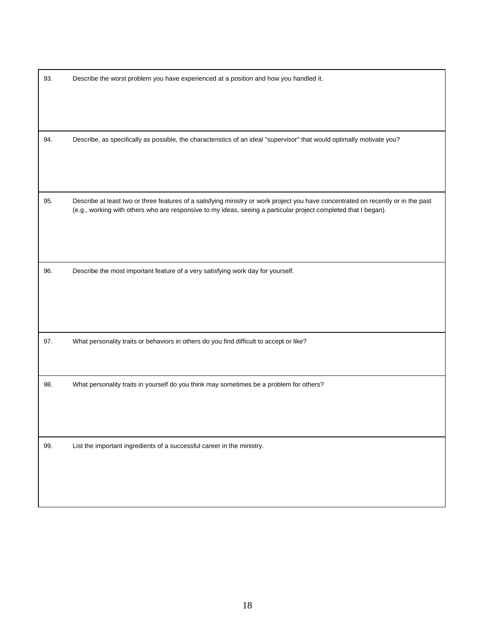| 93. | Describe the worst problem you have experienced at a position and how you handled it.                                                                                                                                                                |
|-----|------------------------------------------------------------------------------------------------------------------------------------------------------------------------------------------------------------------------------------------------------|
| 94. | Describe, as specifically as possible, the characteristics of an ideal "supervisor" that would optimally motivate you?                                                                                                                               |
| 95. | Describe at least two or three features of a satisfying ministry or work project you have concentrated on recently or in the past<br>(e.g., working with others who are responsive to my ideas, seeing a particular project completed that I began). |
| 96. | Describe the most important feature of a very satisfying work day for yourself.                                                                                                                                                                      |
| 97. | What personality traits or behaviors in others do you find difficult to accept or like?                                                                                                                                                              |
| 98. | What personality traits in yourself do you think may sometimes be a problem for others?                                                                                                                                                              |
| 99. | List the important ingredients of a successful career in the ministry.                                                                                                                                                                               |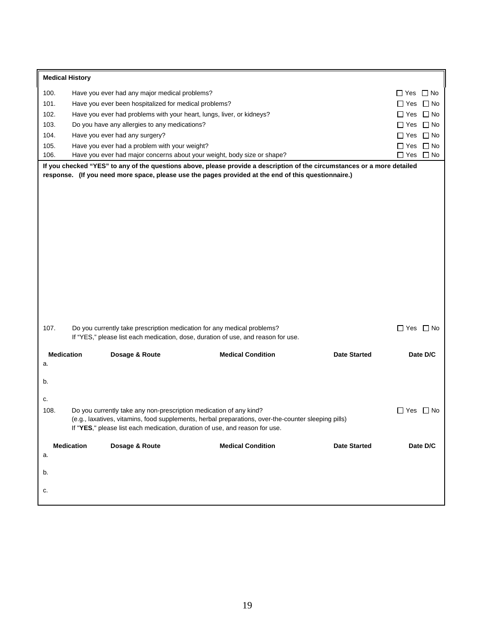|                   | <b>Medical History</b> |                                                       |                                                                                                                                                              |                     |                         |  |
|-------------------|------------------------|-------------------------------------------------------|--------------------------------------------------------------------------------------------------------------------------------------------------------------|---------------------|-------------------------|--|
| 100.              |                        | Have you ever had any major medical problems?         |                                                                                                                                                              |                     | $\Box$ Yes $\Box$ No    |  |
| 101.              |                        | Have you ever been hospitalized for medical problems? |                                                                                                                                                              |                     | $\Box$ Yes $\Box$ No    |  |
| 102.              |                        |                                                       | Have you ever had problems with your heart, lungs, liver, or kidneys?                                                                                        |                     | $\Box$ Yes $\Box$ No    |  |
| 103.              |                        | Do you have any allergies to any medications?         |                                                                                                                                                              |                     | $\Box$ No<br>$\Box$ Yes |  |
| 104.              |                        | Have you ever had any surgery?                        |                                                                                                                                                              |                     | $\Box$ Yes $\Box$ No    |  |
| 105.              |                        | Have you ever had a problem with your weight?         |                                                                                                                                                              |                     | $\Box$ No<br>$\Box$ Yes |  |
| 106.              |                        |                                                       | Have you ever had major concerns about your weight, body size or shape?                                                                                      |                     | $\Box$ Yes<br>$\Box$ No |  |
|                   |                        |                                                       | If you checked "YES" to any of the questions above, please provide a description of the circumstances or a more detailed                                     |                     |                         |  |
|                   |                        |                                                       | response. (If you need more space, please use the pages provided at the end of this questionnaire.)                                                          |                     |                         |  |
|                   |                        |                                                       |                                                                                                                                                              |                     |                         |  |
|                   |                        |                                                       |                                                                                                                                                              |                     |                         |  |
|                   |                        |                                                       |                                                                                                                                                              |                     |                         |  |
|                   |                        |                                                       |                                                                                                                                                              |                     |                         |  |
|                   |                        |                                                       |                                                                                                                                                              |                     |                         |  |
|                   |                        |                                                       |                                                                                                                                                              |                     |                         |  |
|                   |                        |                                                       |                                                                                                                                                              |                     |                         |  |
|                   |                        |                                                       |                                                                                                                                                              |                     |                         |  |
|                   |                        |                                                       |                                                                                                                                                              |                     |                         |  |
|                   |                        |                                                       |                                                                                                                                                              |                     |                         |  |
|                   |                        |                                                       |                                                                                                                                                              |                     |                         |  |
|                   |                        |                                                       |                                                                                                                                                              |                     |                         |  |
|                   |                        |                                                       |                                                                                                                                                              |                     |                         |  |
| 107.              |                        |                                                       | Do you currently take prescription medication for any medical problems?<br>If "YES," please list each medication, dose, duration of use, and reason for use. |                     | $\Box$ Yes $\Box$ No    |  |
|                   |                        |                                                       |                                                                                                                                                              |                     |                         |  |
| <b>Medication</b> |                        | Dosage & Route                                        | <b>Medical Condition</b>                                                                                                                                     | <b>Date Started</b> | Date D/C                |  |
| a.                |                        |                                                       |                                                                                                                                                              |                     |                         |  |
| b.                |                        |                                                       |                                                                                                                                                              |                     |                         |  |
|                   |                        |                                                       |                                                                                                                                                              |                     |                         |  |
| c.                |                        |                                                       |                                                                                                                                                              |                     |                         |  |
| 108.              |                        |                                                       | Do you currently take any non-prescription medication of any kind?                                                                                           |                     | $\Box$ Yes $\Box$ No    |  |
|                   |                        |                                                       | (e.g., laxatives, vitamins, food supplements, herbal preparations, over-the-counter sleeping pills)                                                          |                     |                         |  |
|                   |                        |                                                       | If "YES," please list each medication, duration of use, and reason for use.                                                                                  |                     |                         |  |
|                   | <b>Medication</b>      | Dosage & Route                                        | <b>Medical Condition</b>                                                                                                                                     | <b>Date Started</b> | Date D/C                |  |
| a.                |                        |                                                       |                                                                                                                                                              |                     |                         |  |
|                   |                        |                                                       |                                                                                                                                                              |                     |                         |  |
| b.                |                        |                                                       |                                                                                                                                                              |                     |                         |  |
|                   |                        |                                                       |                                                                                                                                                              |                     |                         |  |
| c.                |                        |                                                       |                                                                                                                                                              |                     |                         |  |
|                   |                        |                                                       |                                                                                                                                                              |                     |                         |  |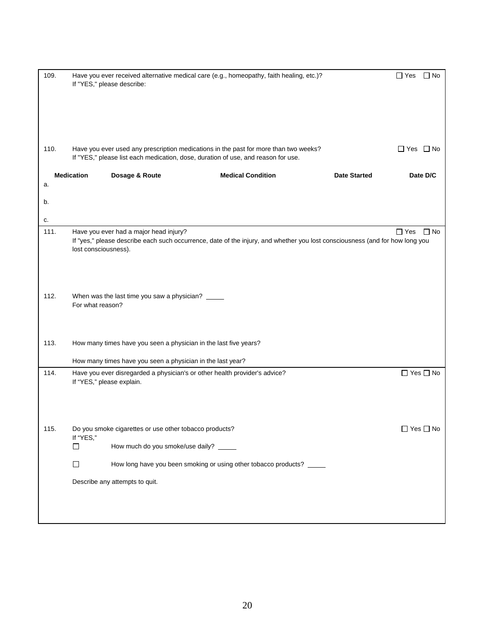| 109. | If "YES," please describe:                                                | Have you ever received alternative medical care (e.g., homeopathy, faith healing, etc.)?                                                                                  |                     | $\Box$ No<br>$\Box$ Yes |
|------|---------------------------------------------------------------------------|---------------------------------------------------------------------------------------------------------------------------------------------------------------------------|---------------------|-------------------------|
| 110. |                                                                           | Have you ever used any prescription medications in the past for more than two weeks?<br>If "YES," please list each medication, dose, duration of use, and reason for use. |                     | $\Box$ Yes $\Box$ No    |
|      | <b>Medication</b><br>Dosage & Route                                       | <b>Medical Condition</b>                                                                                                                                                  | <b>Date Started</b> | Date D/C                |
| a.   |                                                                           |                                                                                                                                                                           |                     |                         |
| b.   |                                                                           |                                                                                                                                                                           |                     |                         |
| c.   |                                                                           |                                                                                                                                                                           |                     |                         |
| 111. | Have you ever had a major head injury?<br>lost consciousness).            | If "yes," please describe each such occurrence, date of the injury, and whether you lost consciousness (and for how long you                                              |                     | $\Box$ Yes<br>$\Box$ No |
| 112. | When was the last time you saw a physician?<br>For what reason?           |                                                                                                                                                                           |                     |                         |
| 113. | How many times have you seen a physician in the last five years?          |                                                                                                                                                                           |                     |                         |
|      | How many times have you seen a physician in the last year?                |                                                                                                                                                                           |                     |                         |
| 114. | If "YES," please explain.                                                 | Have you ever disregarded a physician's or other health provider's advice?                                                                                                |                     | $\Box$ Yes $\Box$ No    |
| 115. | Do you smoke cigarettes or use other tobacco products?<br>If "YES,"<br>ΙI | How much do you smoke/use daily? _____                                                                                                                                    |                     | $\Box$ Yes $\Box$ No    |
|      | □                                                                         | How long have you been smoking or using other tobacco products? _____                                                                                                     |                     |                         |
|      | Describe any attempts to quit.                                            |                                                                                                                                                                           |                     |                         |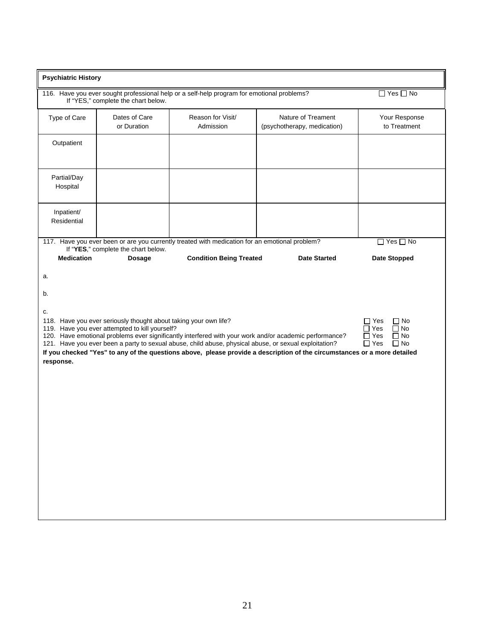| <b>Psychiatric History</b>  |                                                                                                                                                           |                                                                                                       |                                                                                                                                                                                                                                    |                                                                                                          |  |  |  |
|-----------------------------|-----------------------------------------------------------------------------------------------------------------------------------------------------------|-------------------------------------------------------------------------------------------------------|------------------------------------------------------------------------------------------------------------------------------------------------------------------------------------------------------------------------------------|----------------------------------------------------------------------------------------------------------|--|--|--|
|                             | $\Box$ Yes $\Box$ No<br>116. Have you ever sought professional help or a self-help program for emotional problems?<br>If "YES," complete the chart below. |                                                                                                       |                                                                                                                                                                                                                                    |                                                                                                          |  |  |  |
| Type of Care                | Dates of Care<br>or Duration                                                                                                                              | Reason for Visit/<br>Admission                                                                        | Nature of Treament<br>(psychotherapy, medication)                                                                                                                                                                                  | Your Response<br>to Treatment                                                                            |  |  |  |
| Outpatient                  |                                                                                                                                                           |                                                                                                       |                                                                                                                                                                                                                                    |                                                                                                          |  |  |  |
| Partial/Day<br>Hospital     |                                                                                                                                                           |                                                                                                       |                                                                                                                                                                                                                                    |                                                                                                          |  |  |  |
| Inpatient/<br>Residential   |                                                                                                                                                           |                                                                                                       |                                                                                                                                                                                                                                    |                                                                                                          |  |  |  |
|                             | If "YES," complete the chart below.                                                                                                                       | 117. Have you ever been or are you currently treated with medication for an emotional problem?        |                                                                                                                                                                                                                                    | $\Box$ Yes $\Box$ No                                                                                     |  |  |  |
| <b>Medication</b>           | <b>Dosage</b>                                                                                                                                             | <b>Condition Being Treated</b>                                                                        | <b>Date Started</b>                                                                                                                                                                                                                | <b>Date Stopped</b>                                                                                      |  |  |  |
| a.<br>b.<br>c.<br>response. | 118. Have you ever seriously thought about taking your own life?<br>119. Have you ever attempted to kill yourself?                                        | 121. Have you ever been a party to sexual abuse, child abuse, physical abuse, or sexual exploitation? | 120. Have emotional problems ever significantly interfered with your work and/or academic performance?<br>If you checked "Yes" to any of the questions above, please provide a description of the circumstances or a more detailed | $\Box$ Yes<br>$\Box$ No<br>$\Box$ Yes<br>$\Box$ No<br>$\Box$ Yes<br>$\Box$ No<br>$\Box$ Yes<br>$\Box$ No |  |  |  |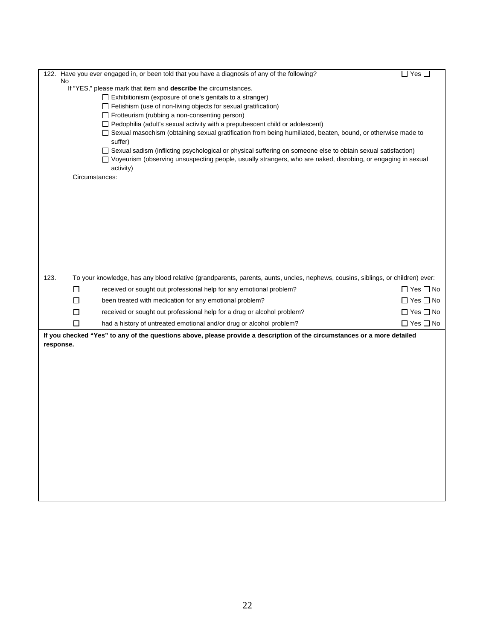|           |                | 122. Have you ever engaged in, or been told that you have a diagnosis of any of the following?                                     | $\square$ Yes $\square$ |
|-----------|----------------|------------------------------------------------------------------------------------------------------------------------------------|-------------------------|
|           | No             |                                                                                                                                    |                         |
|           |                | If "YES," please mark that item and describe the circumstances.<br>$\Box$ Exhibitionism (exposure of one's genitals to a stranger) |                         |
|           |                | Fetishism (use of non-living objects for sexual gratification)                                                                     |                         |
|           |                | $\Box$ Frotteurism (rubbing a non-consenting person)                                                                               |                         |
|           |                | $\Box$ Pedophilia (adult's sexual activity with a prepubescent child or adolescent)                                                |                         |
|           |                | □ Sexual masochism (obtaining sexual gratification from being humiliated, beaten, bound, or otherwise made to                      |                         |
|           |                | suffer)<br>□ Sexual sadism (inflicting psychological or physical suffering on someone else to obtain sexual satisfaction)          |                         |
|           |                | □ Voyeurism (observing unsuspecting people, usually strangers, who are naked, disrobing, or engaging in sexual                     |                         |
|           |                | activity)                                                                                                                          |                         |
|           | Circumstances: |                                                                                                                                    |                         |
|           |                |                                                                                                                                    |                         |
|           |                |                                                                                                                                    |                         |
|           |                |                                                                                                                                    |                         |
|           |                |                                                                                                                                    |                         |
|           |                |                                                                                                                                    |                         |
|           |                |                                                                                                                                    |                         |
|           |                |                                                                                                                                    |                         |
|           |                |                                                                                                                                    |                         |
| 123.      |                | To your knowledge, has any blood relative (grandparents, parents, aunts, uncles, nephews, cousins, siblings, or children) ever:    |                         |
|           | $\Box$         | received or sought out professional help for any emotional problem?                                                                | $\Box$ Yes $\Box$ No    |
|           | П              | been treated with medication for any emotional problem?                                                                            | $\Box$ Yes $\Box$ No    |
|           | □              | received or sought out professional help for a drug or alcohol problem?                                                            | $\Box$ Yes $\Box$ No    |
|           | П              | had a history of untreated emotional and/or drug or alcohol problem?                                                               | $\Box$ Yes $\Box$ No    |
|           |                | If you checked "Yes" to any of the questions above, please provide a description of the circumstances or a more detailed           |                         |
| response. |                |                                                                                                                                    |                         |
|           |                |                                                                                                                                    |                         |
|           |                |                                                                                                                                    |                         |
|           |                |                                                                                                                                    |                         |
|           |                |                                                                                                                                    |                         |
|           |                |                                                                                                                                    |                         |
|           |                |                                                                                                                                    |                         |
|           |                |                                                                                                                                    |                         |
|           |                |                                                                                                                                    |                         |
|           |                |                                                                                                                                    |                         |
|           |                |                                                                                                                                    |                         |
|           |                |                                                                                                                                    |                         |
|           |                |                                                                                                                                    |                         |
|           |                |                                                                                                                                    |                         |
|           |                |                                                                                                                                    |                         |
|           |                |                                                                                                                                    |                         |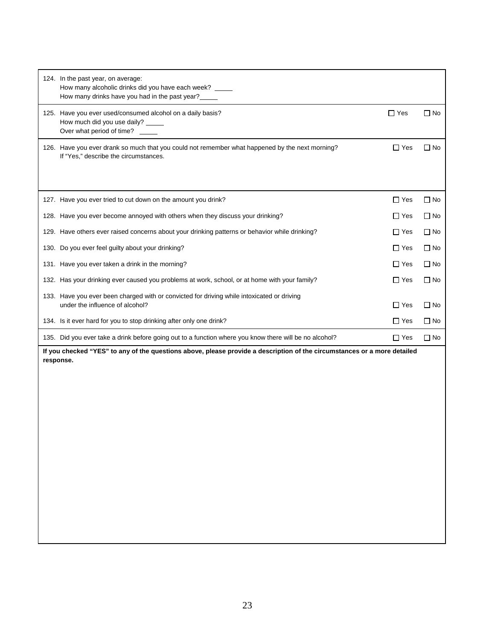| 124. In the past year, on average:<br>How many alcoholic drinks did you have each week? ____<br>How many drinks have you had in the past year? |            |              |
|------------------------------------------------------------------------------------------------------------------------------------------------|------------|--------------|
| 125. Have you ever used/consumed alcohol on a daily basis?<br>How much did you use daily? _____<br>Over what period of time?                   | $\Box$ Yes | $\Box$ No    |
| 126. Have you ever drank so much that you could not remember what happened by the next morning?<br>If "Yes," describe the circumstances.       | $\Box$ Yes | $\Box$ No    |
| 127. Have you ever tried to cut down on the amount you drink?                                                                                  | $\Box$ Yes | $\Box$ No    |
| 128. Have you ever become annoyed with others when they discuss your drinking?                                                                 | $\Box$ Yes | $\Box$ No    |
| 129. Have others ever raised concerns about your drinking patterns or behavior while drinking?                                                 | $\Box$ Yes | $\Box$ No    |
| 130. Do you ever feel guilty about your drinking?                                                                                              | $\Box$ Yes | $\Box$ No    |
| 131. Have you ever taken a drink in the morning?                                                                                               | $\Box$ Yes | $\Box$ No    |
| 132. Has your drinking ever caused you problems at work, school, or at home with your family?                                                  | $\Box$ Yes | $\Box$ No    |
| 133. Have you ever been charged with or convicted for driving while intoxicated or driving<br>under the influence of alcohol?                  | $\Box$ Yes | $\Box$ No    |
| 134. Is it ever hard for you to stop drinking after only one drink?                                                                            | $\Box$ Yes | $\square$ No |
| 135. Did you ever take a drink before going out to a function where you know there will be no alcohol?                                         | $\Box$ Yes | $\Box$ No    |
| If you checked "YES" to any of the questions above, please provide a description of the circumstances or a more detailed<br>response.          |            |              |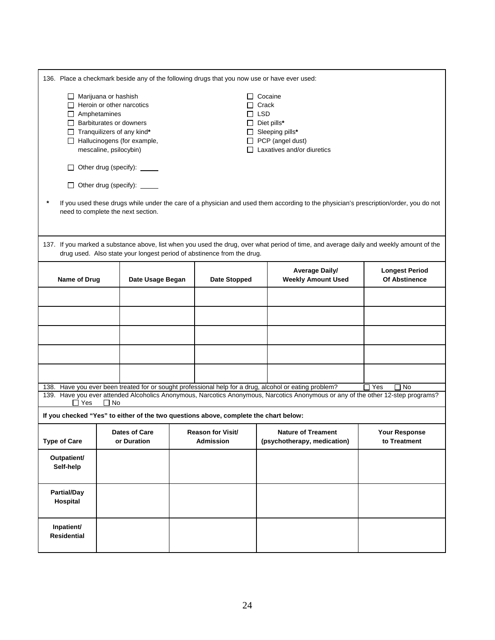|                                       | 136. Place a checkmark beside any of the following drugs that you now use or have ever used:                                                                                                                                                                                                                                                                                                                                               |                                    |  |                                                                                      |  |                                                                                                                                                                                                                                            |                                               |
|---------------------------------------|--------------------------------------------------------------------------------------------------------------------------------------------------------------------------------------------------------------------------------------------------------------------------------------------------------------------------------------------------------------------------------------------------------------------------------------------|------------------------------------|--|--------------------------------------------------------------------------------------|--|--------------------------------------------------------------------------------------------------------------------------------------------------------------------------------------------------------------------------------------------|-----------------------------------------------|
|                                       | Marijuana or hashish<br>$\Box$ Cocaine<br>$\Box$ Heroin or other narcotics<br>Crack<br>$\Box$ LSD<br>$\Box$ Amphetamines<br>$\Box$ Barbiturates or downers<br>$\Box$ Diet pills*<br>$\Box$ Tranquilizers of any kind*<br>$\Box$ Sleeping pills*<br>Hallucinogens (for example,<br>$\Box$ PCP (angel dust)<br>mescaline, psilocybin)<br>$\Box$ Laxatives and/or diuretics<br>□ Other drug (specify): _____<br>□ Other drug (specify): _____ |                                    |  |                                                                                      |  |                                                                                                                                                                                                                                            |                                               |
|                                       |                                                                                                                                                                                                                                                                                                                                                                                                                                            | need to complete the next section. |  |                                                                                      |  | If you used these drugs while under the care of a physician and used them according to the physician's prescription/order, you do not                                                                                                      |                                               |
|                                       |                                                                                                                                                                                                                                                                                                                                                                                                                                            |                                    |  | drug used. Also state your longest period of abstinence from the drug.               |  | 137. If you marked a substance above, list when you used the drug, over what period of time, and average daily and weekly amount of the                                                                                                    |                                               |
| Name of Drug                          |                                                                                                                                                                                                                                                                                                                                                                                                                                            | Date Usage Began                   |  | <b>Date Stopped</b>                                                                  |  | <b>Average Daily/</b><br><b>Weekly Amount Used</b>                                                                                                                                                                                         | <b>Longest Period</b><br><b>Of Abstinence</b> |
|                                       |                                                                                                                                                                                                                                                                                                                                                                                                                                            |                                    |  |                                                                                      |  |                                                                                                                                                                                                                                            |                                               |
|                                       |                                                                                                                                                                                                                                                                                                                                                                                                                                            |                                    |  |                                                                                      |  |                                                                                                                                                                                                                                            |                                               |
|                                       |                                                                                                                                                                                                                                                                                                                                                                                                                                            |                                    |  |                                                                                      |  |                                                                                                                                                                                                                                            |                                               |
|                                       |                                                                                                                                                                                                                                                                                                                                                                                                                                            |                                    |  |                                                                                      |  |                                                                                                                                                                                                                                            |                                               |
|                                       |                                                                                                                                                                                                                                                                                                                                                                                                                                            |                                    |  |                                                                                      |  |                                                                                                                                                                                                                                            |                                               |
| $\Box$ Yes                            | $\Box$ No                                                                                                                                                                                                                                                                                                                                                                                                                                  |                                    |  |                                                                                      |  | 138. Have you ever been treated for or sought professional help for a drug, alcohol or eating problem?<br>139. Have you ever attended Alcoholics Anonymous, Narcotics Anonymous, Narcotics Anonymous or any of the other 12-step programs? | Yes<br>∃ No                                   |
|                                       |                                                                                                                                                                                                                                                                                                                                                                                                                                            |                                    |  | If you checked "Yes" to either of the two questions above, complete the chart below: |  |                                                                                                                                                                                                                                            |                                               |
| <b>Type of Care</b>                   |                                                                                                                                                                                                                                                                                                                                                                                                                                            | Dates of Care<br>or Duration       |  | <b>Reason for Visit/</b><br><b>Admission</b>                                         |  | <b>Nature of Treament</b><br>(psychotherapy, medication)                                                                                                                                                                                   | Your Response<br>to Treatment                 |
| Outpatient/<br>Self-help              |                                                                                                                                                                                                                                                                                                                                                                                                                                            |                                    |  |                                                                                      |  |                                                                                                                                                                                                                                            |                                               |
| <b>Partial/Day</b><br><b>Hospital</b> |                                                                                                                                                                                                                                                                                                                                                                                                                                            |                                    |  |                                                                                      |  |                                                                                                                                                                                                                                            |                                               |
| Inpatient/<br><b>Residential</b>      |                                                                                                                                                                                                                                                                                                                                                                                                                                            |                                    |  |                                                                                      |  |                                                                                                                                                                                                                                            |                                               |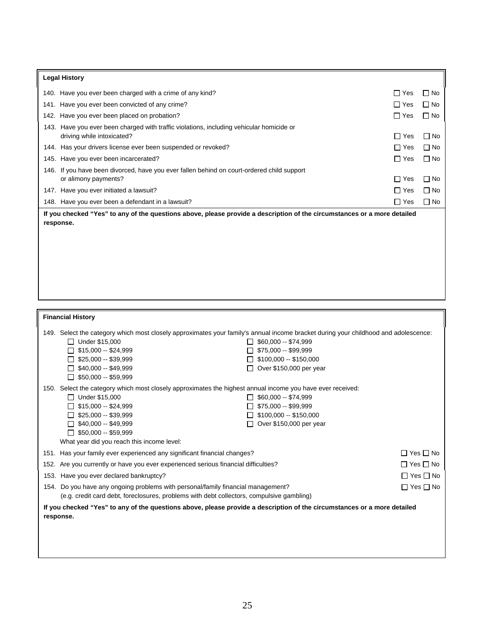| <b>Legal History</b>                                                                                                                  |                                                                                                                                                                                                                                                                                                               |                                                                                                                               |            |                      |
|---------------------------------------------------------------------------------------------------------------------------------------|---------------------------------------------------------------------------------------------------------------------------------------------------------------------------------------------------------------------------------------------------------------------------------------------------------------|-------------------------------------------------------------------------------------------------------------------------------|------------|----------------------|
|                                                                                                                                       | 140. Have you ever been charged with a crime of any kind?                                                                                                                                                                                                                                                     |                                                                                                                               | $\Box$ Yes | $\Box$ No            |
|                                                                                                                                       | 141. Have you ever been convicted of any crime?                                                                                                                                                                                                                                                               |                                                                                                                               | $\Box$ Yes | $\Box$ No            |
|                                                                                                                                       | 142. Have you ever been placed on probation?                                                                                                                                                                                                                                                                  |                                                                                                                               | $\Box$ Yes | $\Box$ No            |
|                                                                                                                                       | 143. Have you ever been charged with traffic violations, including vehicular homicide or<br>driving while intoxicated?                                                                                                                                                                                        |                                                                                                                               | $\Box$ Yes | $\Box$ No            |
|                                                                                                                                       | 144. Has your drivers license ever been suspended or revoked?                                                                                                                                                                                                                                                 |                                                                                                                               | $\Box$ Yes | $\Box$ No            |
|                                                                                                                                       | 145. Have you ever been incarcerated?                                                                                                                                                                                                                                                                         |                                                                                                                               | $\Box$ Yes | $\Box$ No            |
|                                                                                                                                       | 146. If you have been divorced, have you ever fallen behind on court-ordered child support<br>or alimony payments?                                                                                                                                                                                            |                                                                                                                               | $\Box$ Yes | $\Box$ No            |
|                                                                                                                                       | 147. Have you ever initiated a lawsuit?                                                                                                                                                                                                                                                                       |                                                                                                                               | $\Box$ Yes | $\Box$ No            |
|                                                                                                                                       | 148. Have you ever been a defendant in a lawsuit?                                                                                                                                                                                                                                                             |                                                                                                                               | $\Box$ Yes | $\Box$ No            |
|                                                                                                                                       | If you checked "Yes" to any of the questions above, please provide a description of the circumstances or a more detailed<br>response.                                                                                                                                                                         |                                                                                                                               |            |                      |
| <b>Financial History</b>                                                                                                              |                                                                                                                                                                                                                                                                                                               |                                                                                                                               |            |                      |
|                                                                                                                                       | 149. Select the category which most closely approximates your family's annual income bracket during your childhood and adolescence:<br>□ Under \$15,000<br>$\Box$ \$15,000 -- \$24,999<br>$\Box$ \$25,000 -- \$39,999<br>$\Box$ \$40,000 -- \$49,999<br>$\Box$ \$50,000 -- \$59,999                           | $\Box$ \$60,000 -- \$74,999<br>$\Box$ \$75,000 -- \$99,999<br>$\Box$ \$100,000 -- \$150,000<br>□ Over \$150,000 per year      |            |                      |
|                                                                                                                                       | 150. Select the category which most closely approximates the highest annual income you have ever received:<br>$\Box$ Under \$15,000<br>$\Box$ \$15,000 -- \$24,999<br>$\Box$ \$25,000 -- \$39,999<br>$\Box$ \$40,000 -- \$49,999<br>$\Box$ \$50,000 -- \$59,999<br>What year did you reach this income level: | $\Box$ \$60,000 -- \$74,999<br>$\Box$ \$75,000 -- \$99,999<br>$\Box$ \$100,000 -- \$150,000<br>$\Box$ Over \$150,000 per year |            |                      |
|                                                                                                                                       | 151. Has your family ever experienced any significant financial changes?                                                                                                                                                                                                                                      |                                                                                                                               |            | $\Box$ Yes $\Box$ No |
|                                                                                                                                       | 152. Are you currently or have you ever experienced serious financial difficulties?                                                                                                                                                                                                                           |                                                                                                                               |            | $\Box$ Yes $\Box$ No |
|                                                                                                                                       | 153. Have you ever declared bankruptcy?                                                                                                                                                                                                                                                                       |                                                                                                                               |            | $\Box$ Yes $\Box$ No |
|                                                                                                                                       | 154. Do you have any ongoing problems with personal/family financial management?<br>(e.g. credit card debt, foreclosures, problems with debt collectors, compulsive gambling)                                                                                                                                 |                                                                                                                               |            | $\Box$ Yes $\Box$ No |
| If you checked "Yes" to any of the questions above, please provide a description of the circumstances or a more detailed<br>response. |                                                                                                                                                                                                                                                                                                               |                                                                                                                               |            |                      |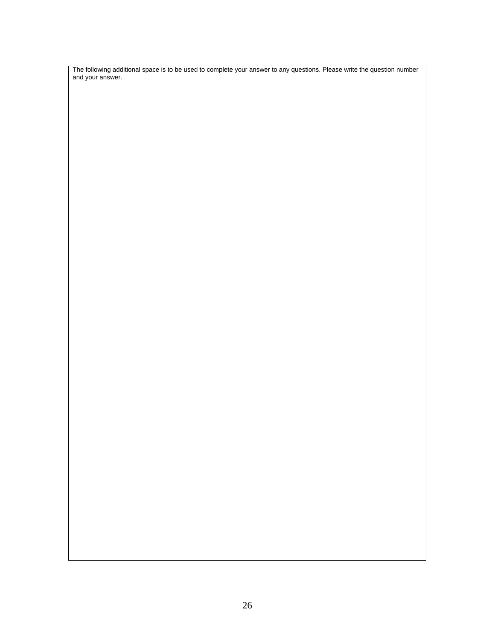The following additional space is to be used to complete your answer to any questions. Please write the question number and your answer.